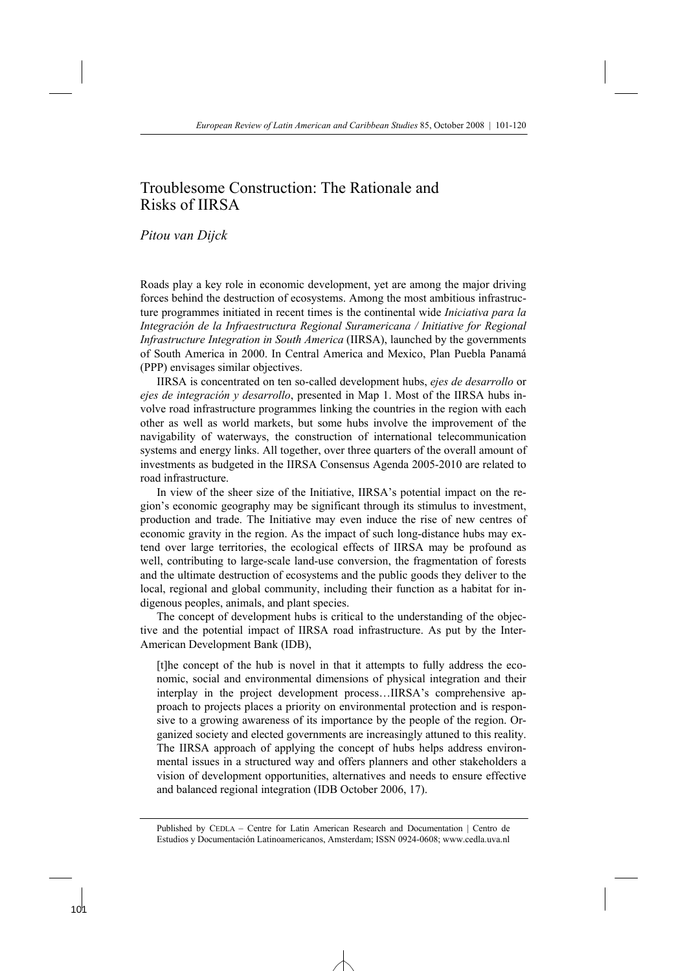# Troublesome Construction: The Rationale and Risks of IIRSA

# *Pitou van Dijck*

Roads play a key role in economic development, yet are among the major driving forces behind the destruction of ecosystems. Among the most ambitious infrastructure programmes initiated in recent times is the continental wide *Iniciativa para la Integración de la Infraestructura Regional Suramericana / Initiative for Regional Infrastructure Integration in South America* (IIRSA), launched by the governments of South America in 2000. In Central America and Mexico, Plan Puebla Panamá (PPP) envisages similar objectives.

 IIRSA is concentrated on ten so-called development hubs, *ejes de desarrollo* or *ejes de integración y desarrollo*, presented in Map 1. Most of the IIRSA hubs involve road infrastructure programmes linking the countries in the region with each other as well as world markets, but some hubs involve the improvement of the navigability of waterways, the construction of international telecommunication systems and energy links. All together, over three quarters of the overall amount of investments as budgeted in the IIRSA Consensus Agenda 2005-2010 are related to road infrastructure.

 In view of the sheer size of the Initiative, IIRSA's potential impact on the region's economic geography may be significant through its stimulus to investment, production and trade. The Initiative may even induce the rise of new centres of economic gravity in the region. As the impact of such long-distance hubs may extend over large territories, the ecological effects of IIRSA may be profound as well, contributing to large-scale land-use conversion, the fragmentation of forests and the ultimate destruction of ecosystems and the public goods they deliver to the local, regional and global community, including their function as a habitat for indigenous peoples, animals, and plant species.

 The concept of development hubs is critical to the understanding of the objective and the potential impact of IIRSA road infrastructure. As put by the Inter-American Development Bank (IDB),

[t]he concept of the hub is novel in that it attempts to fully address the economic, social and environmental dimensions of physical integration and their interplay in the project development process…IIRSA's comprehensive approach to projects places a priority on environmental protection and is responsive to a growing awareness of its importance by the people of the region. Organized society and elected governments are increasingly attuned to this reality. The IIRSA approach of applying the concept of hubs helps address environmental issues in a structured way and offers planners and other stakeholders a vision of development opportunities, alternatives and needs to ensure effective and balanced regional integration (IDB October 2006, 17).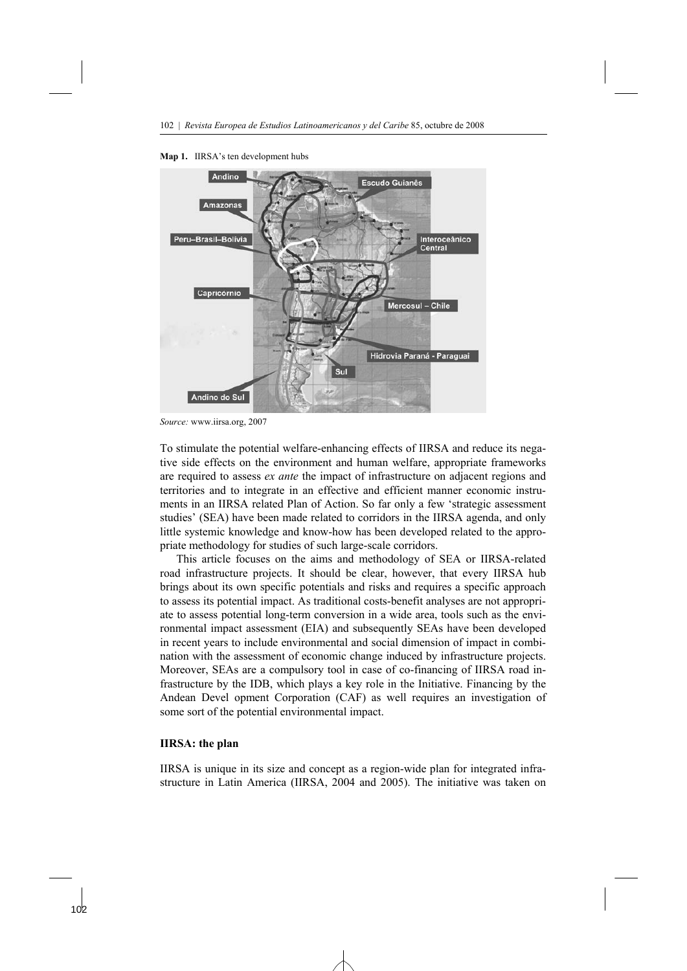

**Map 1.** IIRSA's ten development hubs

*Source:* www.iirsa.org, 2007

To stimulate the potential welfare-enhancing effects of IIRSA and reduce its negative side effects on the environment and human welfare, appropriate frameworks are required to assess *ex ante* the impact of infrastructure on adjacent regions and territories and to integrate in an effective and efficient manner economic instruments in an IIRSA related Plan of Action. So far only a few 'strategic assessment studies' (SEA) have been made related to corridors in the IIRSA agenda, and only little systemic knowledge and know-how has been developed related to the appropriate methodology for studies of such large-scale corridors.

 This article focuses on the aims and methodology of SEA or IIRSA-related road infrastructure projects. It should be clear, however, that every IIRSA hub brings about its own specific potentials and risks and requires a specific approach to assess its potential impact. As traditional costs-benefit analyses are not appropriate to assess potential long-term conversion in a wide area, tools such as the environmental impact assessment (EIA) and subsequently SEAs have been developed in recent years to include environmental and social dimension of impact in combination with the assessment of economic change induced by infrastructure projects. Moreover, SEAs are a compulsory tool in case of co-financing of IIRSA road infrastructure by the IDB, which plays a key role in the Initiative. Financing by the Andean Devel opment Corporation (CAF) as well requires an investigation of some sort of the potential environmental impact.

#### **IIRSA: the plan**

IIRSA is unique in its size and concept as a region-wide plan for integrated infrastructure in Latin America (IIRSA, 2004 and 2005). The initiative was taken on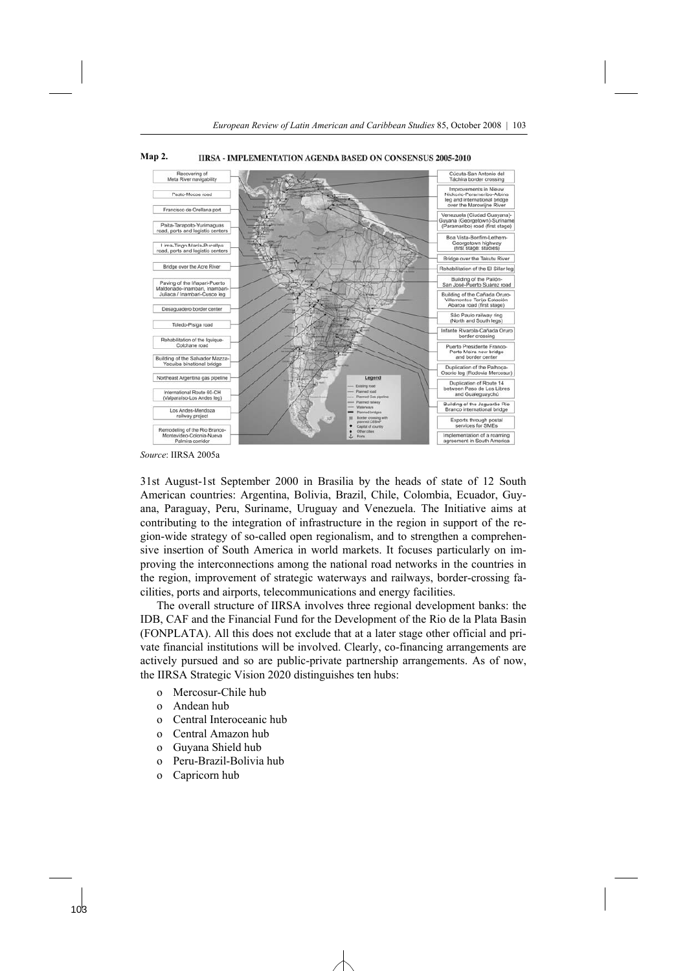

**Map 2. IIRSA - IMPLEMENTATION AGENDA BASED ON CONSENSUS 2005-2010** 

*Source*: IIRSA 2005a

31st August-1st September 2000 in Brasilia by the heads of state of 12 South American countries: Argentina, Bolivia, Brazil, Chile, Colombia, Ecuador, Guyana, Paraguay, Peru, Suriname, Uruguay and Venezuela. The Initiative aims at contributing to the integration of infrastructure in the region in support of the region-wide strategy of so-called open regionalism, and to strengthen a comprehensive insertion of South America in world markets. It focuses particularly on improving the interconnections among the national road networks in the countries in the region, improvement of strategic waterways and railways, border-crossing facilities, ports and airports, telecommunications and energy facilities.

 The overall structure of IIRSA involves three regional development banks: the IDB, CAF and the Financial Fund for the Development of the Rio de la Plata Basin (FONPLATA). All this does not exclude that at a later stage other official and private financial institutions will be involved. Clearly, co-financing arrangements are actively pursued and so are public-private partnership arrangements. As of now, the IIRSA Strategic Vision 2020 distinguishes ten hubs:

- o Mercosur-Chile hub
- o Andean hub
- o Central Interoceanic hub
- o Central Amazon hub
- o Guyana Shield hub
- o Peru-Brazil-Bolivia hub
- o Capricorn hub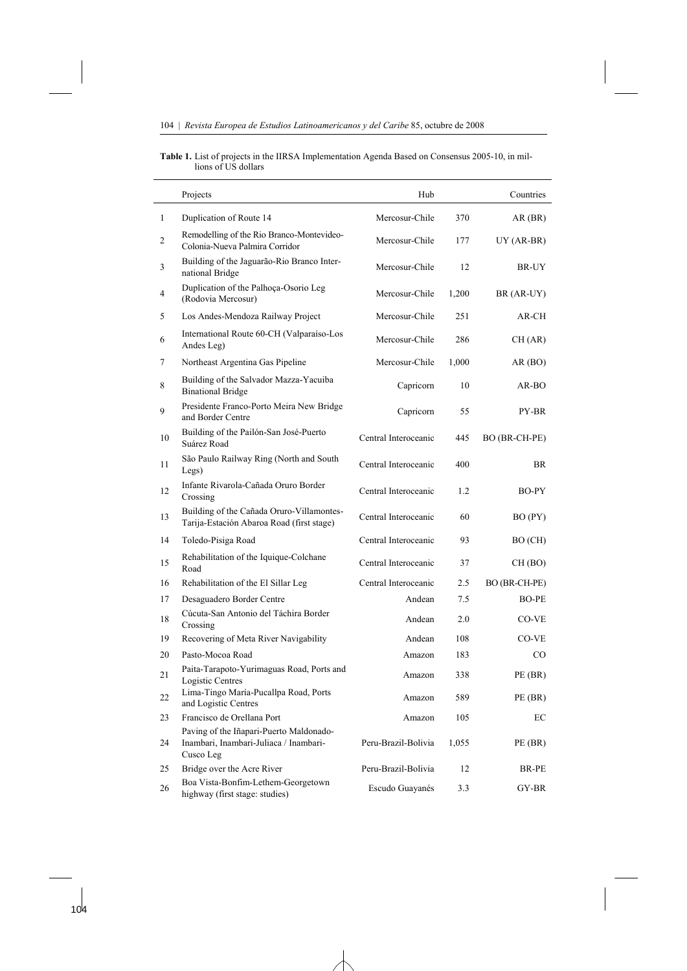$\overline{a}$ 

 $\ddot{\phantom{a}}$ 

**Table 1.** List of projects in the IIRSA Implementation Agenda Based on Consensus 2005-10, in millions of US dollars

|    | Projects                                                                                       | Hub                  |       | Countries     |
|----|------------------------------------------------------------------------------------------------|----------------------|-------|---------------|
| 1  | Duplication of Route 14                                                                        | Mercosur-Chile       | 370   | AR(BR)        |
| 2  | Remodelling of the Rio Branco-Montevideo-<br>Colonia-Nueva Palmira Corridor                    | Mercosur-Chile       | 177   | $UY (AR-BR)$  |
| 3  | Building of the Jaguarão-Rio Branco Inter-<br>national Bridge                                  | Mercosur-Chile       | 12    | BR-UY         |
| 4  | Duplication of the Palhoça-Osorio Leg<br>(Rodovia Mercosur)                                    | Mercosur-Chile       | 1,200 | BR (AR-UY)    |
| 5  | Los Andes-Mendoza Railway Project                                                              | Mercosur-Chile       | 251   | AR-CH         |
| 6  | International Route 60-CH (Valparaíso-Los<br>Andes Leg)                                        | Mercosur-Chile       | 286   | CH (AR)       |
| 7  | Northeast Argentina Gas Pipeline                                                               | Mercosur-Chile       | 1,000 | AR(BO)        |
| 8  | Building of the Salvador Mazza-Yacuiba<br><b>Binational Bridge</b>                             | Capricorn            | 10    | $AR-BO$       |
| 9  | Presidente Franco-Porto Meira New Bridge<br>and Border Centre                                  | Capricorn            | 55    | PY-BR         |
| 10 | Building of the Pailón-San José-Puerto<br>Suárez Road                                          | Central Interoceanic | 445   | BO (BR-CH-PE) |
| 11 | São Paulo Railway Ring (North and South<br>Legs)                                               | Central Interoceanic | 400   | BR            |
| 12 | Infante Rivarola-Cañada Oruro Border<br>Crossing                                               | Central Interoceanic | 1.2   | BO-PY         |
| 13 | Building of the Cañada Oruro-Villamontes-<br>Tarija-Estación Abaroa Road (first stage)         | Central Interoceanic | 60    | BO (PY)       |
| 14 | Toledo-Pisiga Road                                                                             | Central Interoceanic | 93    | BO (CH)       |
| 15 | Rehabilitation of the Iquique-Colchane<br>Road                                                 | Central Interoceanic | 37    | CH (BO)       |
| 16 | Rehabilitation of the El Sillar Leg                                                            | Central Interoceanic | 2.5   | BO (BR-CH-PE) |
| 17 | Desaguadero Border Centre                                                                      | Andean               | 7.5   | BO-PE         |
| 18 | Cúcuta-San Antonio del Táchira Border<br>Crossing                                              | Andean               | 2.0   | CO-VE         |
| 19 | Recovering of Meta River Navigability                                                          | Andean               | 108   | CO-VE         |
| 20 | Pasto-Mocoa Road                                                                               | Amazon               | 183   | CO.           |
| 21 | Paita-Tarapoto-Yurimaguas Road, Ports and<br>Logistic Centres                                  | Amazon               | 338   | PE(BR)        |
| 22 | Lima-Tingo María-Pucallpa Road, Ports<br>and Logistic Centres                                  | Amazon               | 589   | PE(BR)        |
| 23 | Francisco de Orellana Port                                                                     | Amazon               | 105   | EС            |
| 24 | Paving of the Iñapari-Puerto Maldonado-<br>Inambari, Inambari-Juliaca / Inambari-<br>Cusco Leg | Peru-Brazil-Bolivia  | 1,055 | PE(BR)        |
| 25 | Bridge over the Acre River                                                                     | Peru-Brazil-Bolivia  | 12    | BR-PE         |
| 26 | Boa Vista-Bonfim-Lethem-Georgetown<br>highway (first stage: studies)                           | Escudo Guayanés      | 3.3   | GY-BR         |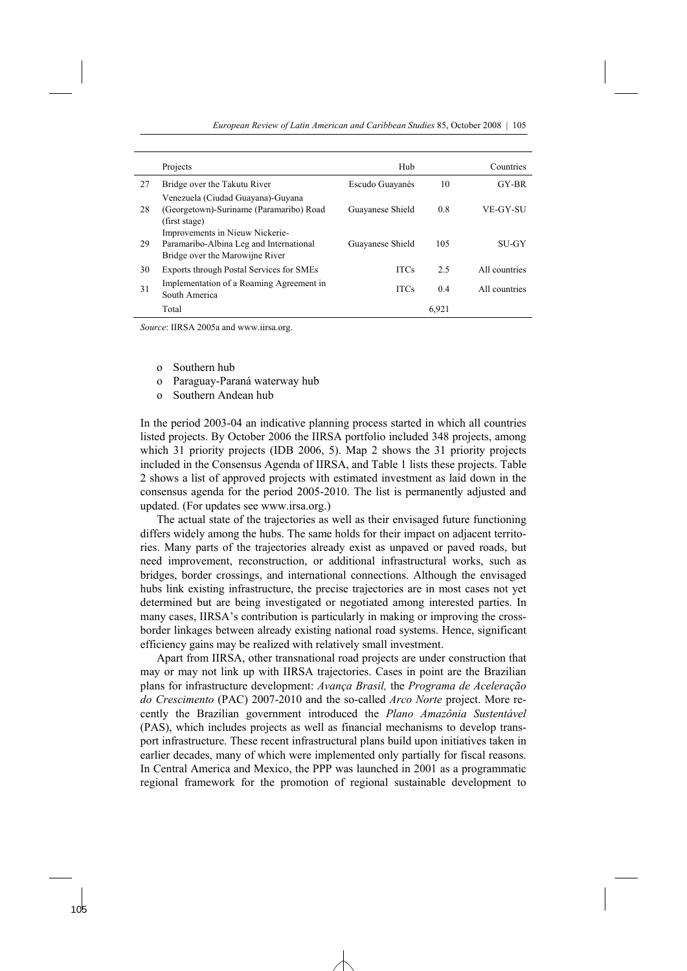|    | Projects                                                                                                                         | Hub              |       | Countries     |
|----|----------------------------------------------------------------------------------------------------------------------------------|------------------|-------|---------------|
| 27 | Bridge over the Takutu River                                                                                                     | Escudo Guayanés  | 10    | GY-BR         |
| 28 | Venezuela (Ciudad Guayana)-Guyana<br>(Georgetown)-Suriname (Paramaribo) Road<br>(first stage)<br>Improvements in Nieuw Nickerie- | Guayanese Shield | 0.8   | VE-GY-SU      |
| 29 | Paramaribo-Albina Leg and International<br>Bridge over the Marowijne River                                                       | Guayanese Shield | 105   | <b>SU-GY</b>  |
| 30 | Exports through Postal Services for SMEs                                                                                         | <b>ITCs</b>      | 2.5   | All countries |
| 31 | Implementation of a Roaming Agreement in<br>South America                                                                        | <b>ITCs</b>      | 0.4   | All countries |
|    | Total                                                                                                                            |                  | 6,921 |               |

*Source*: IIRSA 2005a and www.iirsa.org.

- o Southern hub
- o Paraguay-Paraná waterway hub
- o Southern Andean hub

In the period 2003-04 an indicative planning process started in which all countries listed projects. By October 2006 the IIRSA portfolio included 348 projects, among which 31 priority projects (IDB 2006, 5). Map 2 shows the 31 priority projects included in the Consensus Agenda of IIRSA, and Table 1 lists these projects. Table 2 shows a list of approved projects with estimated investment as laid down in the consensus agenda for the period 2005-2010. The list is permanently adjusted and updated. (For updates see www.irsa.org.)

 The actual state of the trajectories as well as their envisaged future functioning differs widely among the hubs. The same holds for their impact on adjacent territories. Many parts of the trajectories already exist as unpaved or paved roads, but need improvement, reconstruction, or additional infrastructural works, such as bridges, border crossings, and international connections. Although the envisaged hubs link existing infrastructure, the precise trajectories are in most cases not yet determined but are being investigated or negotiated among interested parties. In many cases, IIRSA's contribution is particularly in making or improving the crossborder linkages between already existing national road systems. Hence, significant efficiency gains may be realized with relatively small investment.

 Apart from IIRSA, other transnational road projects are under construction that may or may not link up with IIRSA trajectories. Cases in point are the Brazilian plans for infrastructure development: *Avança Brasil,* the *Programa de Aceleração do Crescimento* (PAC) 2007-2010 and the so-called *Arco Norte* project. More recently the Brazilian government introduced the *Plano Amazônia Sustentável* (PAS), which includes projects as well as financial mechanisms to develop transport infrastructure. These recent infrastructural plans build upon initiatives taken in earlier decades, many of which were implemented only partially for fiscal reasons. In Central America and Mexico, the PPP was launched in 2001 as a programmatic regional framework for the promotion of regional sustainable development to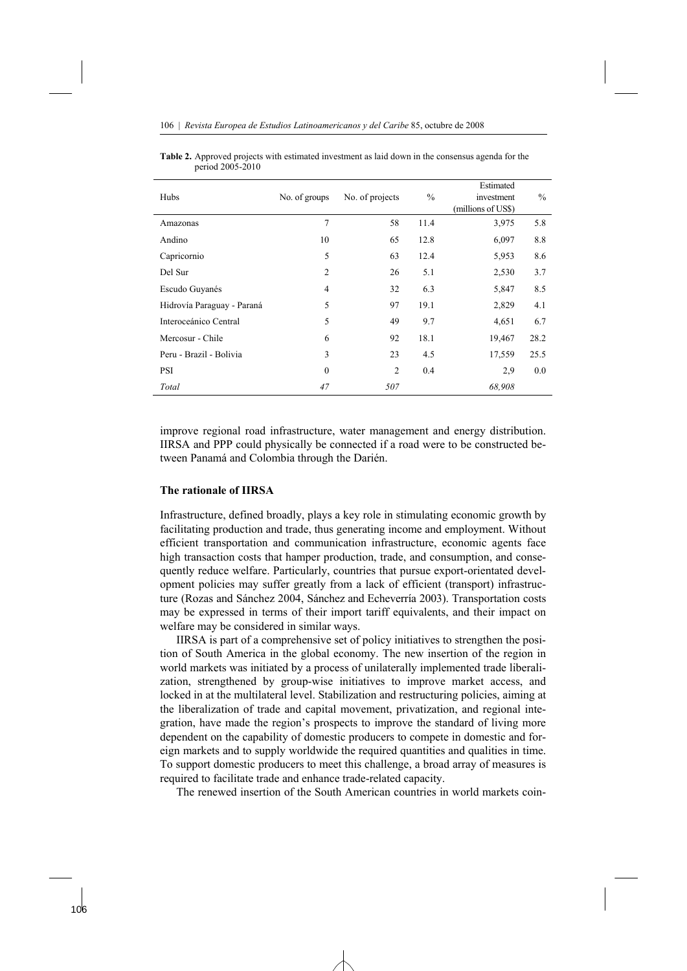| Hubs                       | No. of groups  | No. of projects | $\frac{0}{0}$ | Estimated<br>investment<br>(millions of US\$) | $\%$ |
|----------------------------|----------------|-----------------|---------------|-----------------------------------------------|------|
| Amazonas                   | $\overline{7}$ | 58              | 11.4          | 3,975                                         | 5.8  |
| Andino                     | 10             | 65              | 12.8          | 6,097                                         | 8.8  |
| Capricornio                | 5              | 63              | 12.4          | 5,953                                         | 8.6  |
| Del Sur                    | $\overline{2}$ | 26              | 5.1           | 2,530                                         | 3.7  |
| Escudo Guyanés             | 4              | 32              | 6.3           | 5,847                                         | 8.5  |
| Hidrovía Paraguay - Paraná | 5              | 97              | 19.1          | 2,829                                         | 4.1  |
| Interoceánico Central      | 5              | 49              | 9.7           | 4,651                                         | 6.7  |
| Mercosur - Chile           | 6              | 92              | 18.1          | 19,467                                        | 28.2 |
| Peru - Brazil - Bolivia    | 3              | 23              | 4.5           | 17,559                                        | 25.5 |
| <b>PSI</b>                 | $\mathbf{0}$   | $\overline{c}$  | 0.4           | 2.9                                           | 0.0  |
| Total                      | 47             | 507             |               | 68,908                                        |      |

| <b>Table 2.</b> Approved projects with estimated investment as laid down in the consensus agenda for the |  |  |
|----------------------------------------------------------------------------------------------------------|--|--|
| period 2005-2010                                                                                         |  |  |

improve regional road infrastructure, water management and energy distribution. IIRSA and PPP could physically be connected if a road were to be constructed between Panamá and Colombia through the Darién.

# **The rationale of IIRSA**

Infrastructure, defined broadly, plays a key role in stimulating economic growth by facilitating production and trade, thus generating income and employment. Without efficient transportation and communication infrastructure, economic agents face high transaction costs that hamper production, trade, and consumption, and consequently reduce welfare. Particularly, countries that pursue export-orientated development policies may suffer greatly from a lack of efficient (transport) infrastructure (Rozas and Sánchez 2004, Sánchez and Echeverría 2003). Transportation costs may be expressed in terms of their import tariff equivalents, and their impact on welfare may be considered in similar ways.

 IIRSA is part of a comprehensive set of policy initiatives to strengthen the position of South America in the global economy. The new insertion of the region in world markets was initiated by a process of unilaterally implemented trade liberalization, strengthened by group-wise initiatives to improve market access, and locked in at the multilateral level. Stabilization and restructuring policies, aiming at the liberalization of trade and capital movement, privatization, and regional integration, have made the region's prospects to improve the standard of living more dependent on the capability of domestic producers to compete in domestic and foreign markets and to supply worldwide the required quantities and qualities in time. To support domestic producers to meet this challenge, a broad array of measures is required to facilitate trade and enhance trade-related capacity.

The renewed insertion of the South American countries in world markets coin-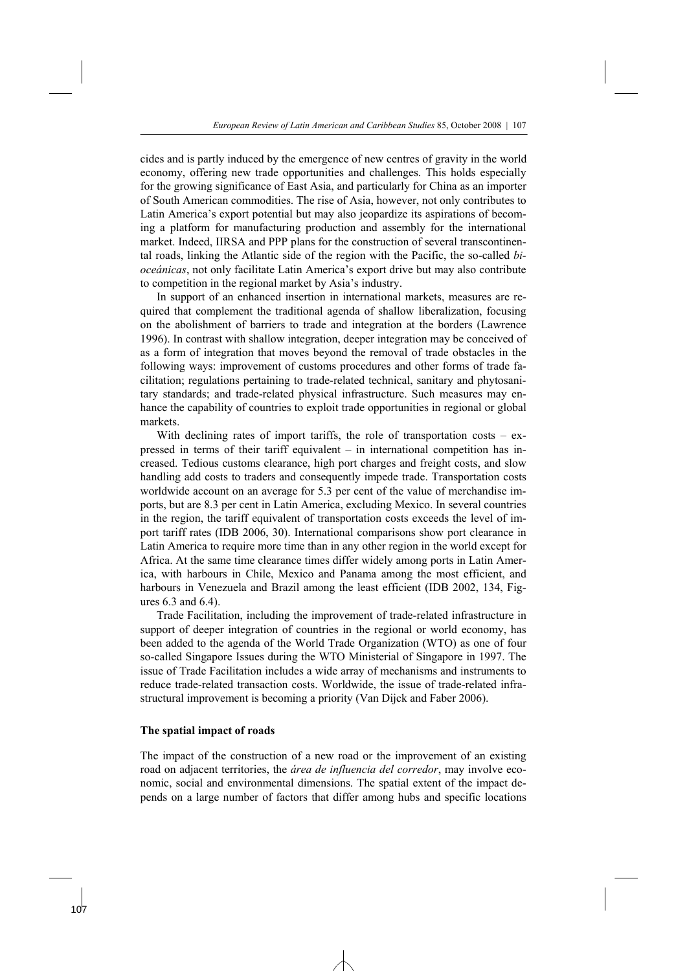cides and is partly induced by the emergence of new centres of gravity in the world economy, offering new trade opportunities and challenges. This holds especially for the growing significance of East Asia, and particularly for China as an importer of South American commodities. The rise of Asia, however, not only contributes to Latin America's export potential but may also jeopardize its aspirations of becoming a platform for manufacturing production and assembly for the international market. Indeed, IIRSA and PPP plans for the construction of several transcontinental roads, linking the Atlantic side of the region with the Pacific, the so-called *bioceánicas*, not only facilitate Latin America's export drive but may also contribute to competition in the regional market by Asia's industry.

 In support of an enhanced insertion in international markets, measures are required that complement the traditional agenda of shallow liberalization, focusing on the abolishment of barriers to trade and integration at the borders (Lawrence 1996). In contrast with shallow integration, deeper integration may be conceived of as a form of integration that moves beyond the removal of trade obstacles in the following ways: improvement of customs procedures and other forms of trade facilitation; regulations pertaining to trade-related technical, sanitary and phytosanitary standards; and trade-related physical infrastructure. Such measures may enhance the capability of countries to exploit trade opportunities in regional or global markets.

With declining rates of import tariffs, the role of transportation costs  $-$  expressed in terms of their tariff equivalent – in international competition has increased. Tedious customs clearance, high port charges and freight costs, and slow handling add costs to traders and consequently impede trade. Transportation costs worldwide account on an average for 5.3 per cent of the value of merchandise imports, but are 8.3 per cent in Latin America, excluding Mexico. In several countries in the region, the tariff equivalent of transportation costs exceeds the level of import tariff rates (IDB 2006, 30). International comparisons show port clearance in Latin America to require more time than in any other region in the world except for Africa. At the same time clearance times differ widely among ports in Latin America, with harbours in Chile, Mexico and Panama among the most efficient, and harbours in Venezuela and Brazil among the least efficient (IDB 2002, 134, Figures 6.3 and 6.4).

 Trade Facilitation, including the improvement of trade-related infrastructure in support of deeper integration of countries in the regional or world economy, has been added to the agenda of the World Trade Organization (WTO) as one of four so-called Singapore Issues during the WTO Ministerial of Singapore in 1997. The issue of Trade Facilitation includes a wide array of mechanisms and instruments to reduce trade-related transaction costs. Worldwide, the issue of trade-related infrastructural improvement is becoming a priority (Van Dijck and Faber 2006).

# **The spatial impact of roads**

The impact of the construction of a new road or the improvement of an existing road on adjacent territories, the *área de influencia del corredor*, may involve economic, social and environmental dimensions. The spatial extent of the impact depends on a large number of factors that differ among hubs and specific locations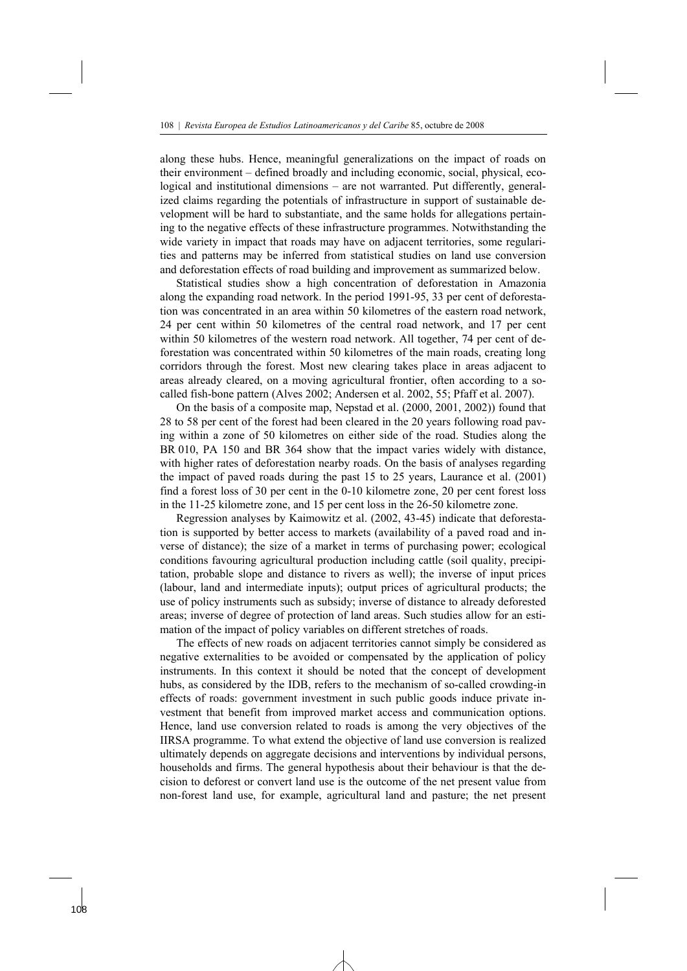along these hubs. Hence, meaningful generalizations on the impact of roads on their environment – defined broadly and including economic, social, physical, ecological and institutional dimensions – are not warranted. Put differently, generalized claims regarding the potentials of infrastructure in support of sustainable development will be hard to substantiate, and the same holds for allegations pertaining to the negative effects of these infrastructure programmes. Notwithstanding the wide variety in impact that roads may have on adjacent territories, some regularities and patterns may be inferred from statistical studies on land use conversion and deforestation effects of road building and improvement as summarized below.

 Statistical studies show a high concentration of deforestation in Amazonia along the expanding road network. In the period 1991-95, 33 per cent of deforestation was concentrated in an area within 50 kilometres of the eastern road network, 24 per cent within 50 kilometres of the central road network, and 17 per cent within 50 kilometres of the western road network. All together, 74 per cent of deforestation was concentrated within 50 kilometres of the main roads, creating long corridors through the forest. Most new clearing takes place in areas adjacent to areas already cleared, on a moving agricultural frontier, often according to a socalled fish-bone pattern (Alves 2002; Andersen et al. 2002, 55; Pfaff et al. 2007).

 On the basis of a composite map, Nepstad et al. (2000, 2001, 2002)) found that 28 to 58 per cent of the forest had been cleared in the 20 years following road paving within a zone of 50 kilometres on either side of the road. Studies along the BR 010, PA 150 and BR 364 show that the impact varies widely with distance, with higher rates of deforestation nearby roads. On the basis of analyses regarding the impact of paved roads during the past 15 to 25 years, Laurance et al. (2001) find a forest loss of 30 per cent in the 0-10 kilometre zone, 20 per cent forest loss in the 11-25 kilometre zone, and 15 per cent loss in the 26-50 kilometre zone.

 Regression analyses by Kaimowitz et al. (2002, 43-45) indicate that deforestation is supported by better access to markets (availability of a paved road and inverse of distance); the size of a market in terms of purchasing power; ecological conditions favouring agricultural production including cattle (soil quality, precipitation, probable slope and distance to rivers as well); the inverse of input prices (labour, land and intermediate inputs); output prices of agricultural products; the use of policy instruments such as subsidy; inverse of distance to already deforested areas; inverse of degree of protection of land areas. Such studies allow for an estimation of the impact of policy variables on different stretches of roads.

 The effects of new roads on adjacent territories cannot simply be considered as negative externalities to be avoided or compensated by the application of policy instruments. In this context it should be noted that the concept of development hubs, as considered by the IDB, refers to the mechanism of so-called crowding-in effects of roads: government investment in such public goods induce private investment that benefit from improved market access and communication options. Hence, land use conversion related to roads is among the very objectives of the IIRSA programme. To what extend the objective of land use conversion is realized ultimately depends on aggregate decisions and interventions by individual persons, households and firms. The general hypothesis about their behaviour is that the decision to deforest or convert land use is the outcome of the net present value from non-forest land use, for example, agricultural land and pasture; the net present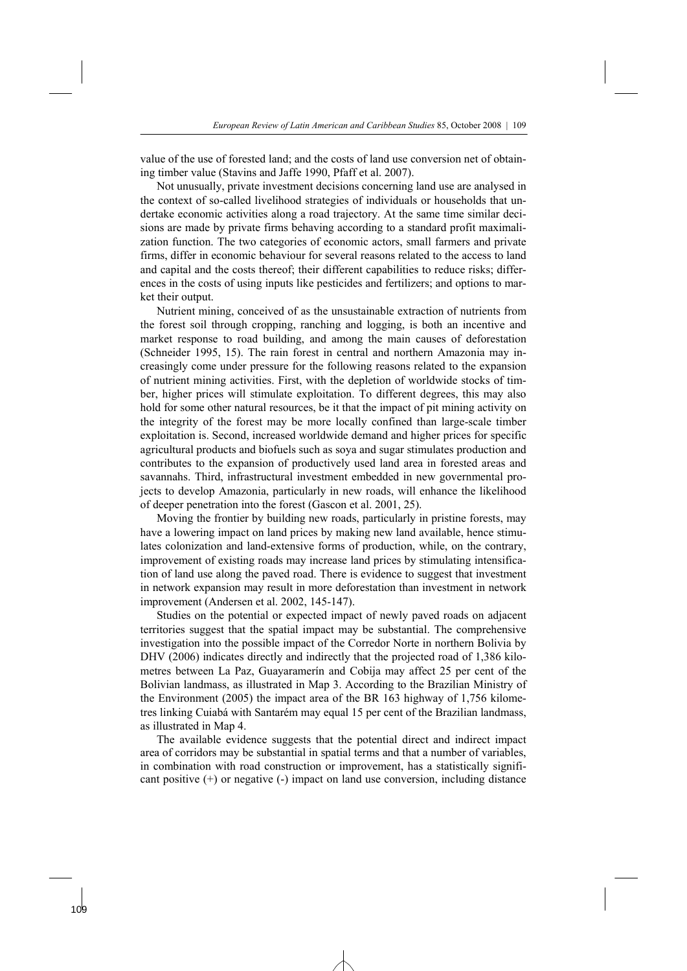value of the use of forested land; and the costs of land use conversion net of obtaining timber value (Stavins and Jaffe 1990, Pfaff et al. 2007).

 Not unusually, private investment decisions concerning land use are analysed in the context of so-called livelihood strategies of individuals or households that undertake economic activities along a road trajectory. At the same time similar decisions are made by private firms behaving according to a standard profit maximalization function. The two categories of economic actors, small farmers and private firms, differ in economic behaviour for several reasons related to the access to land and capital and the costs thereof; their different capabilities to reduce risks; differences in the costs of using inputs like pesticides and fertilizers; and options to market their output.

 Nutrient mining, conceived of as the unsustainable extraction of nutrients from the forest soil through cropping, ranching and logging, is both an incentive and market response to road building, and among the main causes of deforestation (Schneider 1995, 15). The rain forest in central and northern Amazonia may increasingly come under pressure for the following reasons related to the expansion of nutrient mining activities. First, with the depletion of worldwide stocks of timber, higher prices will stimulate exploitation. To different degrees, this may also hold for some other natural resources, be it that the impact of pit mining activity on the integrity of the forest may be more locally confined than large-scale timber exploitation is. Second, increased worldwide demand and higher prices for specific agricultural products and biofuels such as soya and sugar stimulates production and contributes to the expansion of productively used land area in forested areas and savannahs. Third, infrastructural investment embedded in new governmental projects to develop Amazonia, particularly in new roads, will enhance the likelihood of deeper penetration into the forest (Gascon et al. 2001, 25).

 Moving the frontier by building new roads, particularly in pristine forests, may have a lowering impact on land prices by making new land available, hence stimulates colonization and land-extensive forms of production, while, on the contrary, improvement of existing roads may increase land prices by stimulating intensification of land use along the paved road. There is evidence to suggest that investment in network expansion may result in more deforestation than investment in network improvement (Andersen et al. 2002, 145-147).

 Studies on the potential or expected impact of newly paved roads on adjacent territories suggest that the spatial impact may be substantial. The comprehensive investigation into the possible impact of the Corredor Norte in northern Bolivia by DHV (2006) indicates directly and indirectly that the projected road of 1,386 kilometres between La Paz, Guayaramerín and Cobija may affect 25 per cent of the Bolivian landmass, as illustrated in Map 3. According to the Brazilian Ministry of the Environment (2005) the impact area of the BR 163 highway of 1,756 kilometres linking Cuiabá with Santarém may equal 15 per cent of the Brazilian landmass, as illustrated in Map 4.

 The available evidence suggests that the potential direct and indirect impact area of corridors may be substantial in spatial terms and that a number of variables, in combination with road construction or improvement, has a statistically significant positive (+) or negative (-) impact on land use conversion, including distance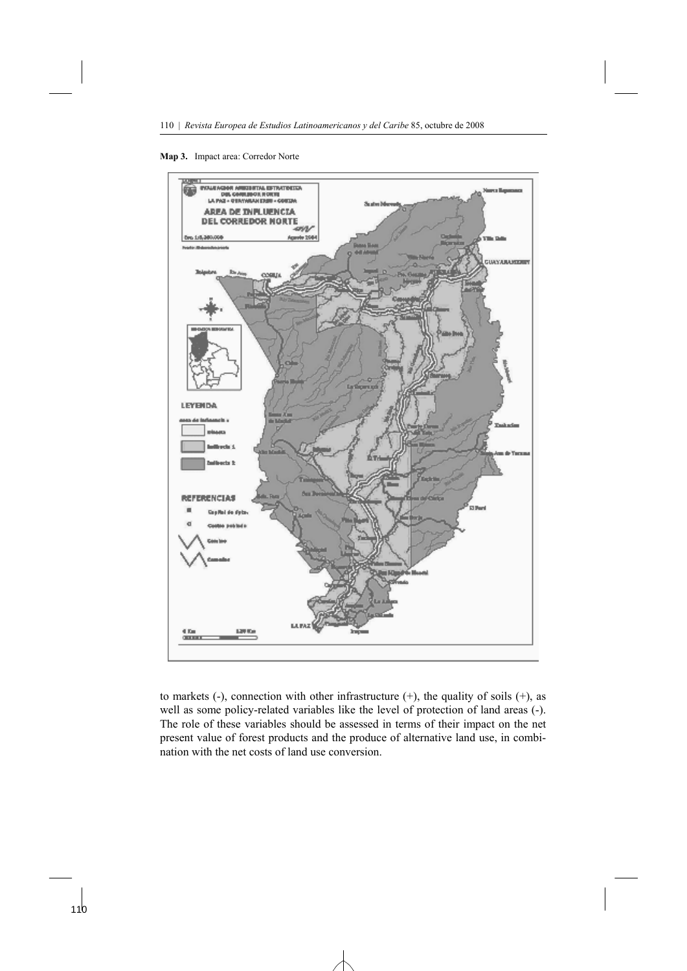



to markets  $(-)$ , connection with other infrastructure  $(+)$ , the quality of soils  $(+)$ , as well as some policy-related variables like the level of protection of land areas (-). The role of these variables should be assessed in terms of their impact on the net present value of forest products and the produce of alternative land use, in combination with the net costs of land use conversion.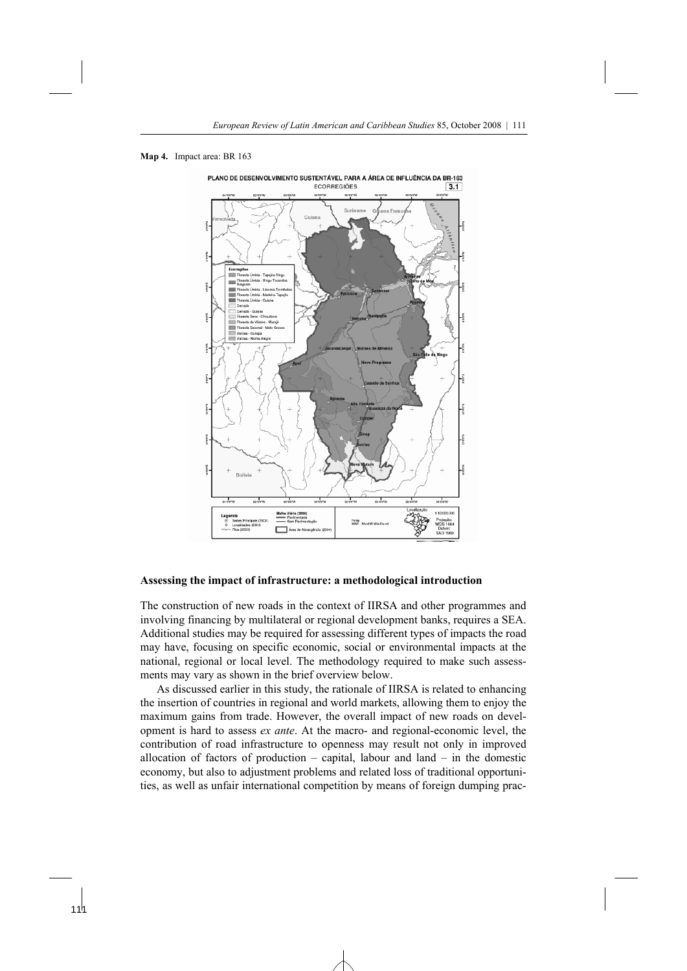



#### **Assessing the impact of infrastructure: a methodological introduction**

The construction of new roads in the context of IIRSA and other programmes and involving financing by multilateral or regional development banks, requires a SEA. Additional studies may be required for assessing different types of impacts the road may have, focusing on specific economic, social or environmental impacts at the national, regional or local level. The methodology required to make such assessments may vary as shown in the brief overview below.

 As discussed earlier in this study, the rationale of IIRSA is related to enhancing the insertion of countries in regional and world markets, allowing them to enjoy the maximum gains from trade. However, the overall impact of new roads on development is hard to assess *ex ante*. At the macro- and regional-economic level, the contribution of road infrastructure to openness may result not only in improved allocation of factors of production – capital, labour and land – in the domestic economy, but also to adjustment problems and related loss of traditional opportunities, as well as unfair international competition by means of foreign dumping prac-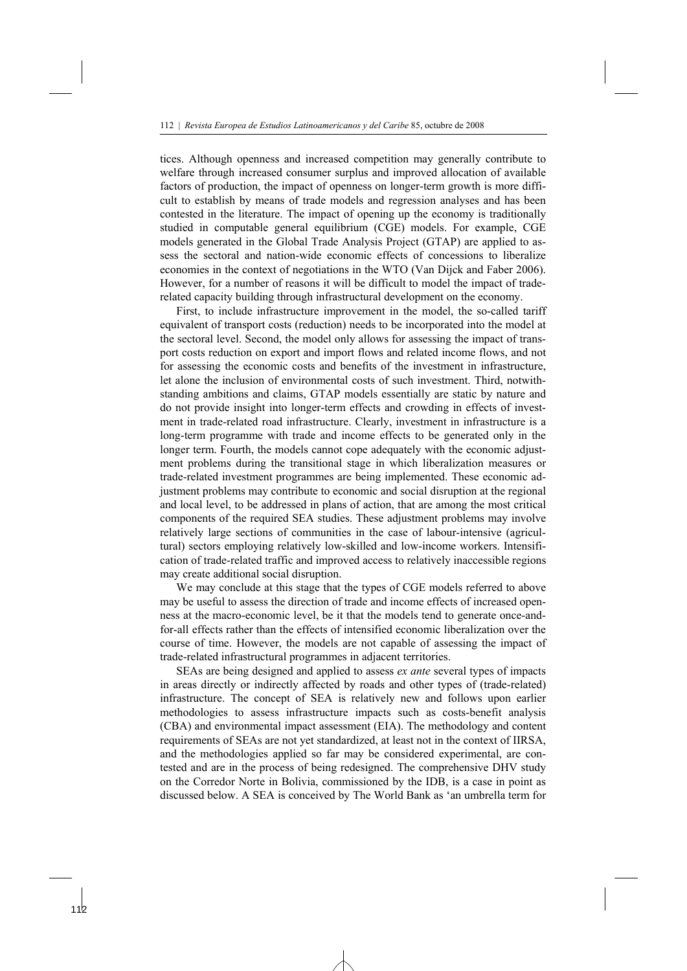tices. Although openness and increased competition may generally contribute to welfare through increased consumer surplus and improved allocation of available factors of production, the impact of openness on longer-term growth is more difficult to establish by means of trade models and regression analyses and has been contested in the literature. The impact of opening up the economy is traditionally studied in computable general equilibrium (CGE) models. For example, CGE models generated in the Global Trade Analysis Project (GTAP) are applied to assess the sectoral and nation-wide economic effects of concessions to liberalize economies in the context of negotiations in the WTO (Van Dijck and Faber 2006). However, for a number of reasons it will be difficult to model the impact of traderelated capacity building through infrastructural development on the economy.

 First, to include infrastructure improvement in the model, the so-called tariff equivalent of transport costs (reduction) needs to be incorporated into the model at the sectoral level. Second, the model only allows for assessing the impact of transport costs reduction on export and import flows and related income flows, and not for assessing the economic costs and benefits of the investment in infrastructure, let alone the inclusion of environmental costs of such investment. Third, notwithstanding ambitions and claims, GTAP models essentially are static by nature and do not provide insight into longer-term effects and crowding in effects of investment in trade-related road infrastructure. Clearly, investment in infrastructure is a long-term programme with trade and income effects to be generated only in the longer term. Fourth, the models cannot cope adequately with the economic adjustment problems during the transitional stage in which liberalization measures or trade-related investment programmes are being implemented. These economic adjustment problems may contribute to economic and social disruption at the regional and local level, to be addressed in plans of action, that are among the most critical components of the required SEA studies. These adjustment problems may involve relatively large sections of communities in the case of labour-intensive (agricultural) sectors employing relatively low-skilled and low-income workers. Intensification of trade-related traffic and improved access to relatively inaccessible regions may create additional social disruption.

 We may conclude at this stage that the types of CGE models referred to above may be useful to assess the direction of trade and income effects of increased openness at the macro-economic level, be it that the models tend to generate once-andfor-all effects rather than the effects of intensified economic liberalization over the course of time. However, the models are not capable of assessing the impact of trade-related infrastructural programmes in adjacent territories.

 SEAs are being designed and applied to assess *ex ante* several types of impacts in areas directly or indirectly affected by roads and other types of (trade-related) infrastructure. The concept of SEA is relatively new and follows upon earlier methodologies to assess infrastructure impacts such as costs-benefit analysis (CBA) and environmental impact assessment (EIA). The methodology and content requirements of SEAs are not yet standardized, at least not in the context of IIRSA, and the methodologies applied so far may be considered experimental, are contested and are in the process of being redesigned. The comprehensive DHV study on the Corredor Norte in Bolivia, commissioned by the IDB, is a case in point as discussed below. A SEA is conceived by The World Bank as 'an umbrella term for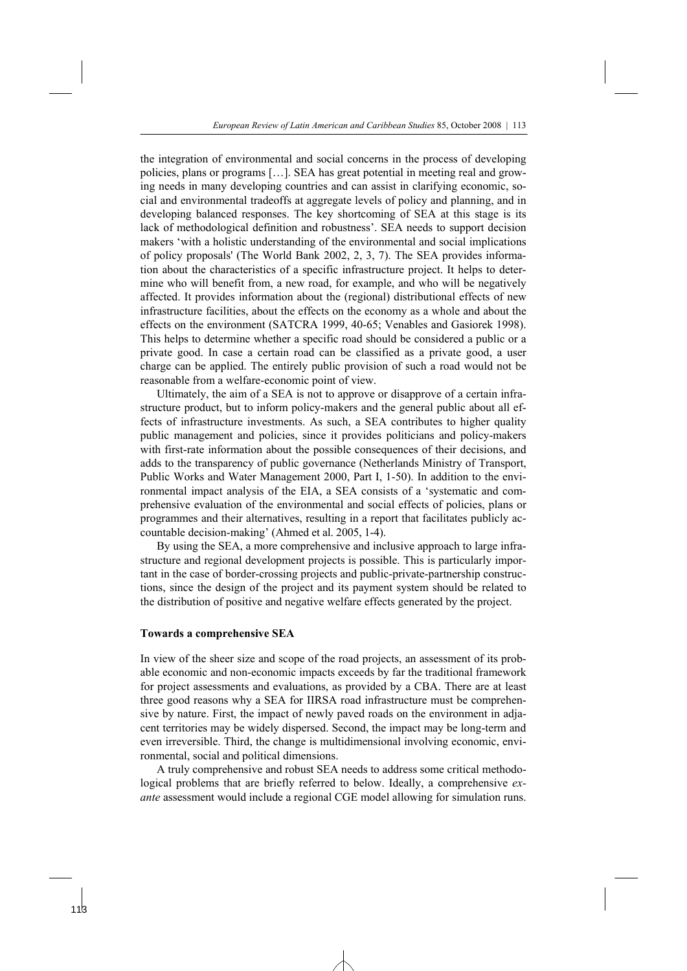the integration of environmental and social concerns in the process of developing policies, plans or programs […]. SEA has great potential in meeting real and growing needs in many developing countries and can assist in clarifying economic, social and environmental tradeoffs at aggregate levels of policy and planning, and in developing balanced responses. The key shortcoming of SEA at this stage is its lack of methodological definition and robustness'. SEA needs to support decision makers 'with a holistic understanding of the environmental and social implications of policy proposals' (The World Bank 2002, 2, 3, 7). The SEA provides information about the characteristics of a specific infrastructure project. It helps to determine who will benefit from, a new road, for example, and who will be negatively affected. It provides information about the (regional) distributional effects of new infrastructure facilities, about the effects on the economy as a whole and about the effects on the environment (SATCRA 1999, 40-65; Venables and Gasiorek 1998). This helps to determine whether a specific road should be considered a public or a private good. In case a certain road can be classified as a private good, a user charge can be applied. The entirely public provision of such a road would not be reasonable from a welfare-economic point of view.

 Ultimately, the aim of a SEA is not to approve or disapprove of a certain infrastructure product, but to inform policy-makers and the general public about all effects of infrastructure investments. As such, a SEA contributes to higher quality public management and policies, since it provides politicians and policy-makers with first-rate information about the possible consequences of their decisions, and adds to the transparency of public governance (Netherlands Ministry of Transport, Public Works and Water Management 2000, Part I, 1-50). In addition to the environmental impact analysis of the EIA, a SEA consists of a 'systematic and comprehensive evaluation of the environmental and social effects of policies, plans or programmes and their alternatives, resulting in a report that facilitates publicly accountable decision-making' (Ahmed et al. 2005, 1-4).

 By using the SEA, a more comprehensive and inclusive approach to large infrastructure and regional development projects is possible. This is particularly important in the case of border-crossing projects and public-private-partnership constructions, since the design of the project and its payment system should be related to the distribution of positive and negative welfare effects generated by the project.

# **Towards a comprehensive SEA**

In view of the sheer size and scope of the road projects, an assessment of its probable economic and non-economic impacts exceeds by far the traditional framework for project assessments and evaluations, as provided by a CBA. There are at least three good reasons why a SEA for IIRSA road infrastructure must be comprehensive by nature. First, the impact of newly paved roads on the environment in adjacent territories may be widely dispersed. Second, the impact may be long-term and even irreversible. Third, the change is multidimensional involving economic, environmental, social and political dimensions.

 A truly comprehensive and robust SEA needs to address some critical methodological problems that are briefly referred to below. Ideally, a comprehensive *exante* assessment would include a regional CGE model allowing for simulation runs.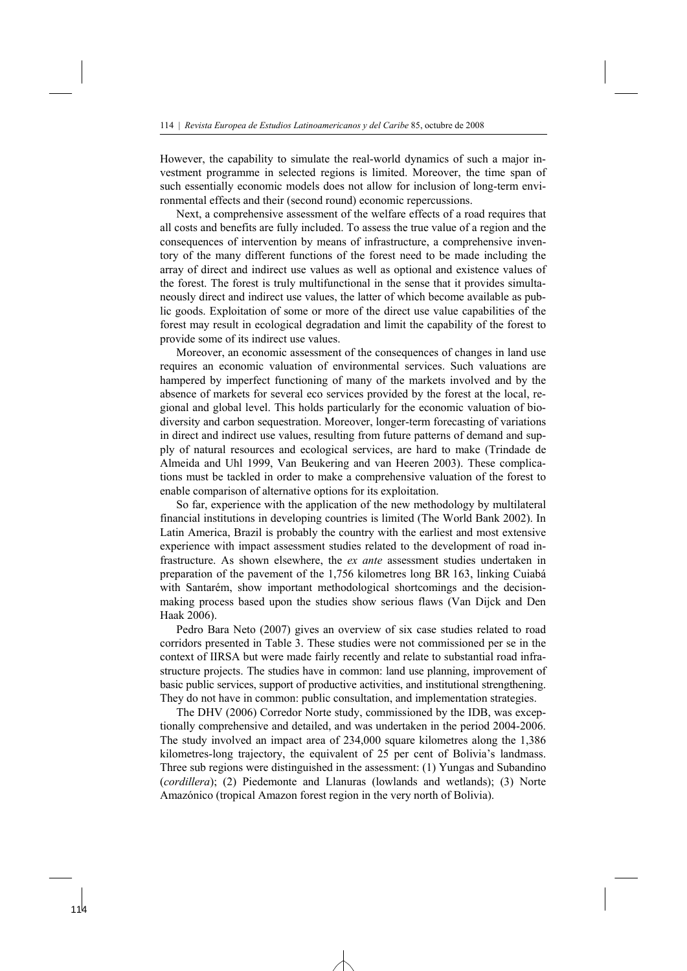However, the capability to simulate the real-world dynamics of such a major investment programme in selected regions is limited. Moreover, the time span of such essentially economic models does not allow for inclusion of long-term environmental effects and their (second round) economic repercussions.

 Next, a comprehensive assessment of the welfare effects of a road requires that all costs and benefits are fully included. To assess the true value of a region and the consequences of intervention by means of infrastructure, a comprehensive inventory of the many different functions of the forest need to be made including the array of direct and indirect use values as well as optional and existence values of the forest. The forest is truly multifunctional in the sense that it provides simultaneously direct and indirect use values, the latter of which become available as public goods. Exploitation of some or more of the direct use value capabilities of the forest may result in ecological degradation and limit the capability of the forest to provide some of its indirect use values.

 Moreover, an economic assessment of the consequences of changes in land use requires an economic valuation of environmental services. Such valuations are hampered by imperfect functioning of many of the markets involved and by the absence of markets for several eco services provided by the forest at the local, regional and global level. This holds particularly for the economic valuation of biodiversity and carbon sequestration. Moreover, longer-term forecasting of variations in direct and indirect use values, resulting from future patterns of demand and supply of natural resources and ecological services, are hard to make (Trindade de Almeida and Uhl 1999, Van Beukering and van Heeren 2003). These complications must be tackled in order to make a comprehensive valuation of the forest to enable comparison of alternative options for its exploitation.

 So far, experience with the application of the new methodology by multilateral financial institutions in developing countries is limited (The World Bank 2002). In Latin America, Brazil is probably the country with the earliest and most extensive experience with impact assessment studies related to the development of road infrastructure. As shown elsewhere, the *ex ante* assessment studies undertaken in preparation of the pavement of the 1,756 kilometres long BR 163, linking Cuiabá with Santarém, show important methodological shortcomings and the decisionmaking process based upon the studies show serious flaws (Van Dijck and Den Haak 2006).

Pedro Bara Neto (2007) gives an overview of six case studies related to road corridors presented in Table 3. These studies were not commissioned per se in the context of IIRSA but were made fairly recently and relate to substantial road infrastructure projects. The studies have in common: land use planning, improvement of basic public services, support of productive activities, and institutional strengthening. They do not have in common: public consultation, and implementation strategies.

 The DHV (2006) Corredor Norte study, commissioned by the IDB, was exceptionally comprehensive and detailed, and was undertaken in the period 2004-2006. The study involved an impact area of 234,000 square kilometres along the 1,386 kilometres-long trajectory, the equivalent of 25 per cent of Bolivia's landmass. Three sub regions were distinguished in the assessment: (1) Yungas and Subandino (*cordillera*); (2) Piedemonte and Llanuras (lowlands and wetlands); (3) Norte Amazónico (tropical Amazon forest region in the very north of Bolivia).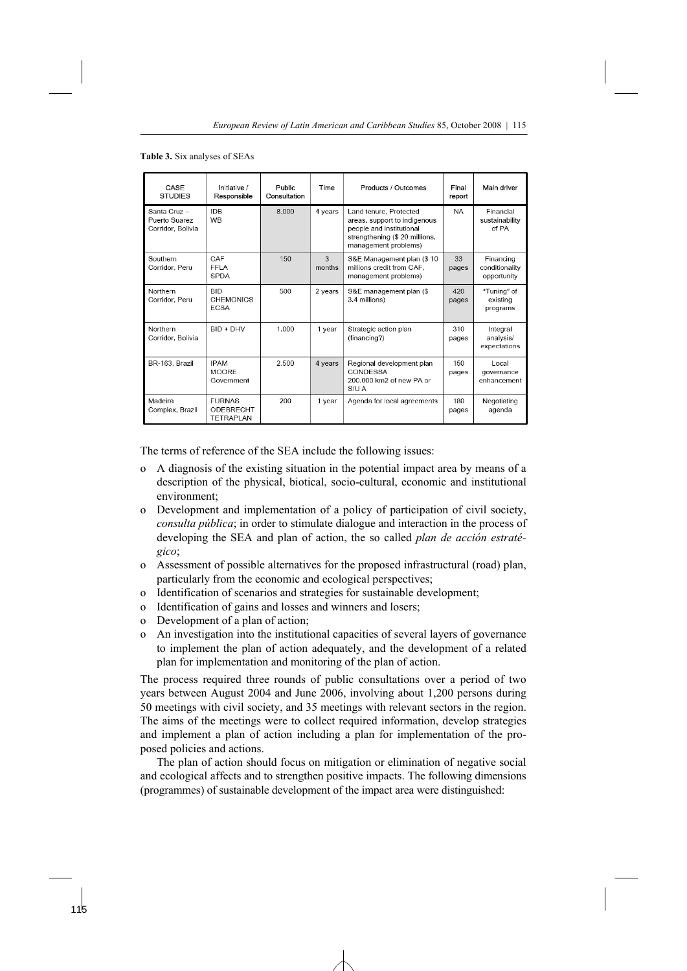**Table 3.** Six analyses of SEAs

| CASE<br><b>STUDIES</b>                            | Initiative /<br>Responsible                           | Public<br>Consultation | Time        | Products / Outcomes                                                                                                                          | Final<br>report | Main driver                                |
|---------------------------------------------------|-------------------------------------------------------|------------------------|-------------|----------------------------------------------------------------------------------------------------------------------------------------------|-----------------|--------------------------------------------|
| Santa Cruz-<br>Puerto Suarez<br>Corridor, Bolivia | <b>IDB</b><br><b>WB</b>                               | 8.000                  | 4 years     | Land tenure, Protected<br>areas, support to indigenous<br>people and institutional<br>strengthening (\$ 20 millions,<br>management problems) | <b>NA</b>       | Financial<br>sustainability<br>of PA       |
| Southern<br>Corridor, Peru                        | CAF<br>FFI A<br><b>SPDA</b>                           | 150                    | 3<br>months | S&E Management plan (\$10)<br>millions credit from CAF,<br>management problems)                                                              | 33<br>pages     | Financing<br>conditionality<br>opportunity |
| Northern<br>Corridor, Peru                        | <b>BID</b><br><b>CHEMONICS</b><br><b>FCSA</b>         | 500                    | 2 years     | S&E management plan (\$<br>3.4 millions)                                                                                                     | 420<br>pages    | "Tuning" of<br>existing<br>programs        |
| Northern<br>Corridor, Bolivia                     | $BID + DHV$                                           | 1.000                  | 1 year      | Strategic action plan<br>(financing?)                                                                                                        | 310<br>pages    | Integral<br>analysis/<br>expectations      |
| BR-163. Brazil                                    | <b>IPAM</b><br><b>MOORF</b><br>Government             | 2.500                  | 4 years     | Regional development plan<br>CONDESSA<br>200,000 km2 of new PA or<br>S/U A                                                                   | 150<br>pages    | Local<br>governance<br>enhancement         |
| Madeira<br>Complex, Brazil                        | <b>FURNAS</b><br><b>ODEBRECHT</b><br><b>TETRAPLAN</b> | 200                    | 1 year      | Agenda for local agreements                                                                                                                  | 180<br>pages    | Negotiating<br>agenda                      |

The terms of reference of the SEA include the following issues:

- o A diagnosis of the existing situation in the potential impact area by means of a description of the physical, biotical, socio-cultural, economic and institutional environment;
- o Development and implementation of a policy of participation of civil society, *consulta pública*; in order to stimulate dialogue and interaction in the process of developing the SEA and plan of action, the so called *plan de acción estratégico*;
- o Assessment of possible alternatives for the proposed infrastructural (road) plan, particularly from the economic and ecological perspectives;
- o Identification of scenarios and strategies for sustainable development;
- o Identification of gains and losses and winners and losers;
- o Development of a plan of action;
- o An investigation into the institutional capacities of several layers of governance to implement the plan of action adequately, and the development of a related plan for implementation and monitoring of the plan of action.

The process required three rounds of public consultations over a period of two years between August 2004 and June 2006, involving about 1,200 persons during 50 meetings with civil society, and 35 meetings with relevant sectors in the region. The aims of the meetings were to collect required information, develop strategies and implement a plan of action including a plan for implementation of the proposed policies and actions.

 The plan of action should focus on mitigation or elimination of negative social and ecological affects and to strengthen positive impacts. The following dimensions (programmes) of sustainable development of the impact area were distinguished: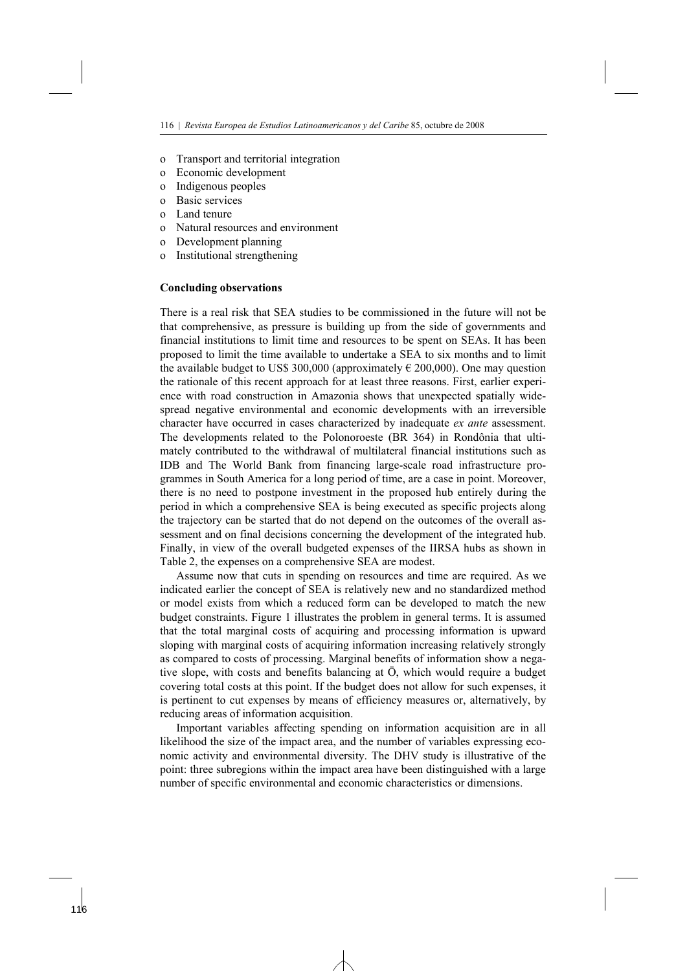- o Transport and territorial integration
- o Economic development
- o Indigenous peoples
- o Basic services
- o Land tenure
- o Natural resources and environment
- o Development planning
- o Institutional strengthening

#### **Concluding observations**

There is a real risk that SEA studies to be commissioned in the future will not be that comprehensive, as pressure is building up from the side of governments and financial institutions to limit time and resources to be spent on SEAs. It has been proposed to limit the time available to undertake a SEA to six months and to limit the available budget to US\$ 300,000 (approximately  $\epsilon$  200,000). One may question the rationale of this recent approach for at least three reasons. First, earlier experience with road construction in Amazonia shows that unexpected spatially widespread negative environmental and economic developments with an irreversible character have occurred in cases characterized by inadequate *ex ante* assessment. The developments related to the Polonoroeste (BR 364) in Rondônia that ultimately contributed to the withdrawal of multilateral financial institutions such as IDB and The World Bank from financing large-scale road infrastructure programmes in South America for a long period of time, are a case in point. Moreover, there is no need to postpone investment in the proposed hub entirely during the period in which a comprehensive SEA is being executed as specific projects along the trajectory can be started that do not depend on the outcomes of the overall assessment and on final decisions concerning the development of the integrated hub. Finally, in view of the overall budgeted expenses of the IIRSA hubs as shown in Table 2, the expenses on a comprehensive SEA are modest.

 Assume now that cuts in spending on resources and time are required. As we indicated earlier the concept of SEA is relatively new and no standardized method or model exists from which a reduced form can be developed to match the new budget constraints. Figure 1 illustrates the problem in general terms. It is assumed that the total marginal costs of acquiring and processing information is upward sloping with marginal costs of acquiring information increasing relatively strongly as compared to costs of processing. Marginal benefits of information show a negative slope, with costs and benefits balancing at Ō, which would require a budget covering total costs at this point. If the budget does not allow for such expenses, it is pertinent to cut expenses by means of efficiency measures or, alternatively, by reducing areas of information acquisition.

 Important variables affecting spending on information acquisition are in all likelihood the size of the impact area, and the number of variables expressing economic activity and environmental diversity. The DHV study is illustrative of the point: three subregions within the impact area have been distinguished with a large number of specific environmental and economic characteristics or dimensions.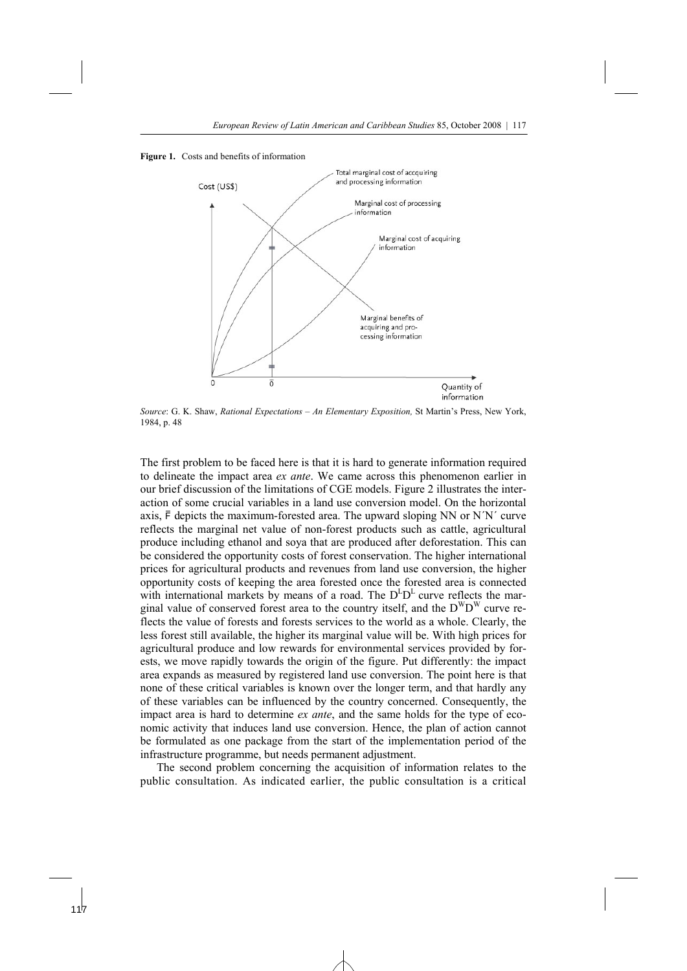



*Source*: G. K. Shaw, *Rational Expectations – An Elementary Exposition,* St Martin's Press, New York, 1984, p. 48

The first problem to be faced here is that it is hard to generate information required to delineate the impact area *ex ante*. We came across this phenomenon earlier in our brief discussion of the limitations of CGE models. Figure 2 illustrates the interaction of some crucial variables in a land use conversion model. On the horizontal axis, F depicts the maximum-forested area. The upward sloping NN or N´N´ curve reflects the marginal net value of non-forest products such as cattle, agricultural produce including ethanol and soya that are produced after deforestation. This can be considered the opportunity costs of forest conservation. The higher international prices for agricultural products and revenues from land use conversion, the higher opportunity costs of keeping the area forested once the forested area is connected with international markets by means of a road. The  $D^{L}D^{L}$  curve reflects the marginal value of conserved forest area to the country itself, and the  $D^WD^W$  curve reflects the value of forests and forests services to the world as a whole. Clearly, the less forest still available, the higher its marginal value will be. With high prices for agricultural produce and low rewards for environmental services provided by forests, we move rapidly towards the origin of the figure. Put differently: the impact area expands as measured by registered land use conversion. The point here is that none of these critical variables is known over the longer term, and that hardly any of these variables can be influenced by the country concerned. Consequently, the impact area is hard to determine *ex ante*, and the same holds for the type of economic activity that induces land use conversion. Hence, the plan of action cannot be formulated as one package from the start of the implementation period of the infrastructure programme, but needs permanent adjustment.

 The second problem concerning the acquisition of information relates to the public consultation. As indicated earlier, the public consultation is a critical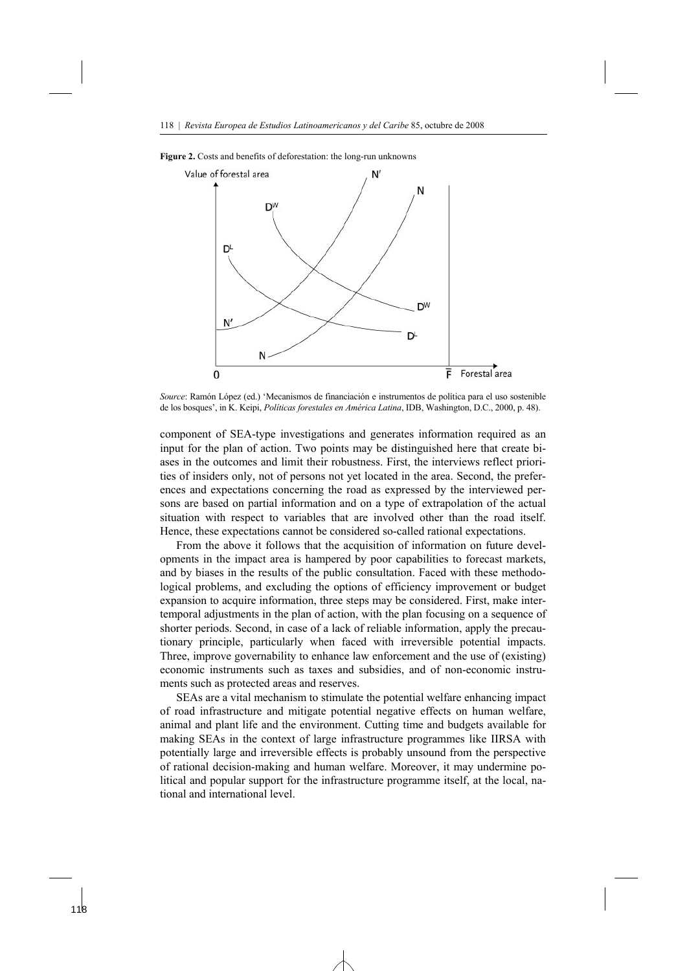



*Source*: Ramón López (ed.) 'Mecanismos de financiación e instrumentos de política para el uso sostenible de los bosques', in K. Keipi, *Políticas forestales en América Latina*, IDB, Washington, D.C., 2000, p. 48).

component of SEA-type investigations and generates information required as an input for the plan of action. Two points may be distinguished here that create biases in the outcomes and limit their robustness. First, the interviews reflect priorities of insiders only, not of persons not yet located in the area. Second, the preferences and expectations concerning the road as expressed by the interviewed persons are based on partial information and on a type of extrapolation of the actual situation with respect to variables that are involved other than the road itself. Hence, these expectations cannot be considered so-called rational expectations.

 From the above it follows that the acquisition of information on future developments in the impact area is hampered by poor capabilities to forecast markets, and by biases in the results of the public consultation. Faced with these methodological problems, and excluding the options of efficiency improvement or budget expansion to acquire information, three steps may be considered. First, make intertemporal adjustments in the plan of action, with the plan focusing on a sequence of shorter periods. Second, in case of a lack of reliable information, apply the precautionary principle, particularly when faced with irreversible potential impacts. Three, improve governability to enhance law enforcement and the use of (existing) economic instruments such as taxes and subsidies, and of non-economic instruments such as protected areas and reserves.

 SEAs are a vital mechanism to stimulate the potential welfare enhancing impact of road infrastructure and mitigate potential negative effects on human welfare, animal and plant life and the environment. Cutting time and budgets available for making SEAs in the context of large infrastructure programmes like IIRSA with potentially large and irreversible effects is probably unsound from the perspective of rational decision-making and human welfare. Moreover, it may undermine political and popular support for the infrastructure programme itself, at the local, national and international level.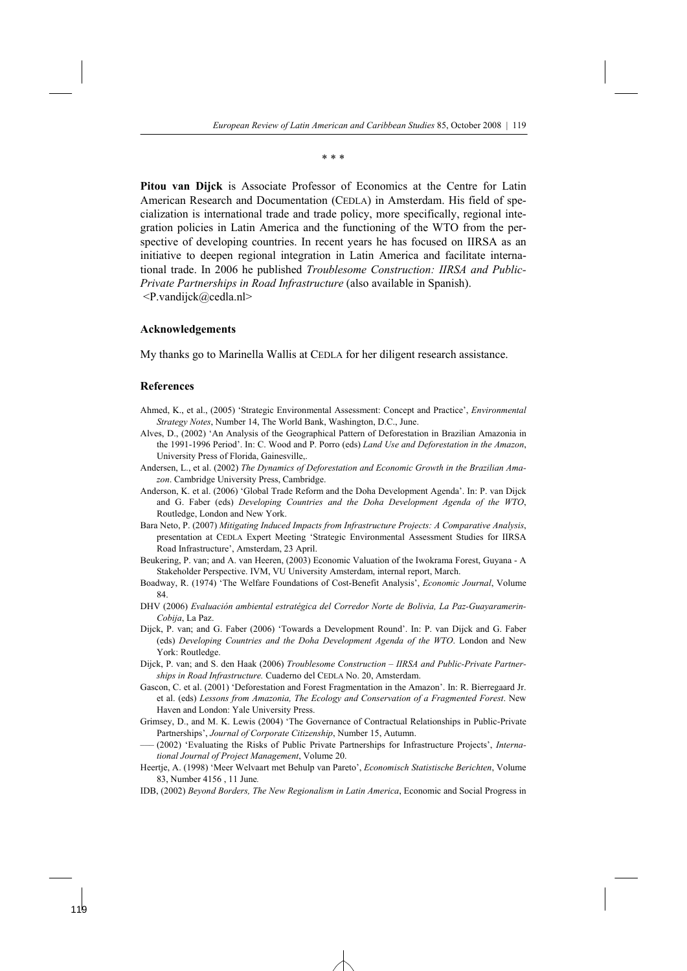\* \* \*

**Pitou van Dijck** is Associate Professor of Economics at the Centre for Latin American Research and Documentation (CEDLA) in Amsterdam. His field of specialization is international trade and trade policy, more specifically, regional integration policies in Latin America and the functioning of the WTO from the perspective of developing countries. In recent years he has focused on IIRSA as an initiative to deepen regional integration in Latin America and facilitate international trade. In 2006 he published *Troublesome Construction: IIRSA and Public-Private Partnerships in Road Infrastructure* (also available in Spanish). <P.vandijck@cedla.nl>

#### **Acknowledgements**

My thanks go to Marinella Wallis at CEDLA for her diligent research assistance.

#### **References**

- Ahmed, K., et al., (2005) 'Strategic Environmental Assessment: Concept and Practice', *Environmental Strategy Notes*, Number 14, The World Bank, Washington, D.C., June.
- Alves, D., (2002) 'An Analysis of the Geographical Pattern of Deforestation in Brazilian Amazonia in the 1991-1996 Period'. In: C. Wood and P. Porro (eds) *Land Use and Deforestation in the Amazon*, University Press of Florida, Gainesville,.
- Andersen, L., et al. (2002) *The Dynamics of Deforestation and Economic Growth in the Brazilian Amazon*. Cambridge University Press, Cambridge.
- Anderson, K. et al. (2006) 'Global Trade Reform and the Doha Development Agenda'. In: P. van Dijck and G. Faber (eds) *Developing Countries and the Doha Development Agenda of the WTO*, Routledge, London and New York.
- Bara Neto, P. (2007) *Mitigating Induced Impacts from Infrastructure Projects: A Comparative Analysis*, presentation at CEDLA Expert Meeting 'Strategic Environmental Assessment Studies for IIRSA Road Infrastructure', Amsterdam, 23 April.
- Beukering, P. van; and A. van Heeren, (2003) Economic Valuation of the Iwokrama Forest, Guyana A Stakeholder Perspective. IVM, VU University Amsterdam, internal report, March.
- Boadway, R. (1974) 'The Welfare Foundations of Cost-Benefit Analysis', *Economic Journal*, Volume 84.
- DHV (2006) *Evaluación ambiental estratégica del Corredor Norte de Bolivia, La Paz-Guayaramerin-Cobija*, La Paz.
- Dijck, P. van; and G. Faber (2006) 'Towards a Development Round'. In: P. van Dijck and G. Faber (eds) *Developing Countries and the Doha Development Agenda of the WTO*. London and New York: Routledge.
- Dijck, P. van; and S. den Haak (2006) *Troublesome Construction IIRSA and Public-Private Partnerships in Road Infrastructure.* Cuaderno del CEDLA No. 20, Amsterdam.
- Gascon, C. et al. (2001) 'Deforestation and Forest Fragmentation in the Amazon'. In: R. Bierregaard Jr. et al. (eds) *Lessons from Amazonia, The Ecology and Conservation of a Fragmented Forest*. New Haven and London: Yale University Press.
- Grimsey, D., and M. K. Lewis (2004) 'The Governance of Contractual Relationships in Public-Private Partnerships', *Journal of Corporate Citizenship*, Number 15, Autumn.
- ––– (2002) 'Evaluating the Risks of Public Private Partnerships for Infrastructure Projects', *International Journal of Project Management*, Volume 20.
- Heertje, A. (1998) 'Meer Welvaart met Behulp van Pareto', *Economisch Statistische Berichten*, Volume 83, Number 4156 , 11 June*.*
- IDB, (2002) *Beyond Borders, The New Regionalism in Latin America*, Economic and Social Progress in